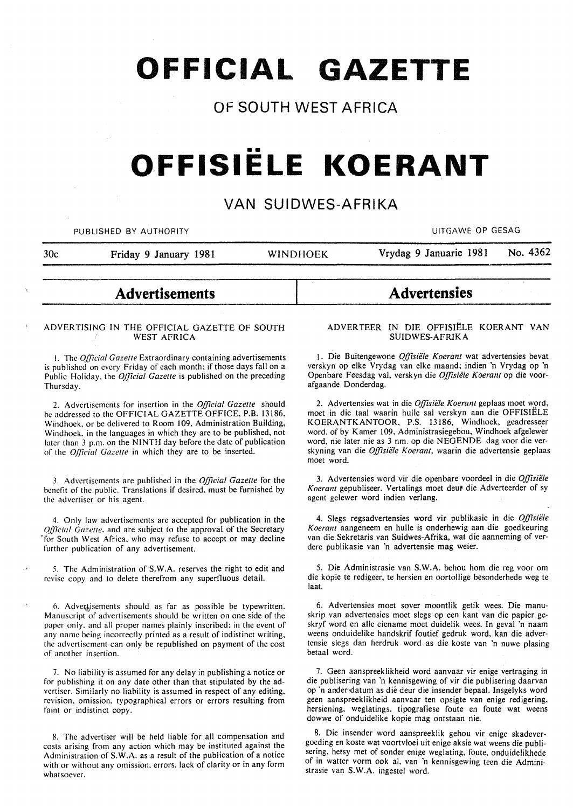# **OFFICIAL GAZETTE**

## **OF SOUTH WEST AFRICA**

# •• **OFFISIELE KOERANT**

### **VAN SUIDWES-AFRIKA**

PUBLISHED BY AUTHORITY **AUTHORITY EXAGE ASSAULT ASSAULT ASSAULT ASSAULT ASSAULT ASSAULT ASSAULT ASSAULT ASSAULT ASSAULT ASSAULT ASSAULT ASSAULT ASSAULT ASSAULT ASSAULT ASSAULT ASSAULT ASSAULT ASSAULT ASSAULT ASSAULT ASSA** 

30c Friday 9 January 1981 WINDHOEK Vrydag 9 Januarie 1981 No. 4362

# **Advertisements**

#### ADVERTISING IN THE OFFICIAL GAZETTE OF SOUTH WEST AFRICA

I. The *Official Gazelle* Extraordinary containing advertisements is published on every Friday of each month; if those days fall on a Public Holiday, the *Official Gazette* is published on the preceding Thursday.

2. Advertisements for insertion in the *Official Gazette* should be addressed to the OFFICIAL GAZETTE OFFICE, P.B. 13186, Windhoek. or be delivered to Room 109. Administration Building, Windhoek. in the languages in which they are to be published, not later than 3 p.m. on the NINTH day before the date of publication of the *Official Gazelle* in which they are to be inserted.

3. Advertisements are published in the *Official Gazelle* for the benefit of the public. Translations if desired, must be furnished by the advertiser or his agent.

4. Only law advertisements are accepted for publication in the *Q[ficial Gazette.* and are subject to the approval of the Secretary ·for South West Africa. who may refuse to accept or may decline further publication of any advertisement.

5. The Administration of S.W.A. reserves the right to edit and revise copy and to delete therefrom any superfluous detail.

6. Advertisements should as far as possible be typewritten. Manuscript of advertisements should be written on one side of the paper only. and all proper names plainly inscribed: in the event of any name being incorrectly printed as a result of indistinct writing, the advertisement can only be republished on payment of the cost of another insertion.

7. No liability is assumed for any delay in publishing a notice or for publishing it on any date other than that stipulated by the advertiser. Similarly no liability is assumed in respect of any editing. revision. omission. typographical errors or errors resulting from faint or indistinct copy.

8. The advertiser will be held liable for all compensation and costs arising from any action which may be instituted against the Administration of S. W.A. as a result of the publication of a notice with or without any omission. errors. lack of clarity or in any form whatsoever.

**Advertensies** 

#### ADVER TEER IN DIE OFFISIELE KOERANT VAN SUIDWES-AFRIKA

1. Die Buitengewone *Offisiële Koerant* wat advertensies bevat verskyn op elke Vrydag van elke maand; indien 'n Vrydag op 'n Openbare Feesdag val, verskyn die *Offisiele Koerant* op die voorafgaande Donderdag.

2. Advertensies wat in die *Offisiele Koerant* geplaas moet word, moet in die taal waarin hulle sal verskyn aan die OFFISIELE KOERANTKANTOOR, P.S. 13186, Windhoek, geadresseer word, of by Kamer 109. Administrasiegebou, Windhoek afgelewer word, nie later nie as 3 nm. op die NEGENDE dag voor die verskyning van die *Offisiele Koerant,* waarin die advertensie geplaas moet word.

3. Advertensies word vir die openbare voordeel in die *Offisiele*  Koerant gepubliseer. Vertalings moet deut die Adverteerder of sy agent gelewer word indien verlang.

4. Slegs regsadvertensies word vir publikasie in die *Offisiele Koerant* aangeneem en hulle is onderhewig aan die goedkeuring van die Sekretaris van Suidwes-Afrika, wat die aanneming of verdere publikasie van 'n advertensie mag weier.

5. Die Administrasie van S.W.A. behou hom die reg voor om die kopie te redigeer, te hersien en oortollige besonderhede weg te laat.

6. Advertensies moet sover moontlik getik wees. Die manuskrip *van* advertensies moet slegs op een kant van die papier geskryf word en aile eiename moet duidelik wees. In geval 'n naam weens onduidelike handskrif foutief gedruk word, kan die advertensie slegs dan herdruk word as die koste van 'n nuwe plasing betaal word.

7. Geen aanspreeklikheid word aanvaar vir enige vertraging in die publisering van 'n kennisgewing of vir die publisering daarvan op 'n ander,datum as die deur die insender bepaal. Insgelyks word geen aanspreeklikheid aanvaar ten opsigte van enige redigering. hersiening. weglatings. tipografiese foute en foute wat weens dowwe of onduidelike kopie mag ontstaan nie.

8. Die insender word aanspreeklik gehou vir enige skadevergoeding en koste wat voortvloei uit enige aksie wat weens die publisering. hetsy met of sonder enige weglating, foute, onduidelikhede of in watter vorm ook al. van 'n kennisgewing teen die Administrasie van S.W.A. ingestel word.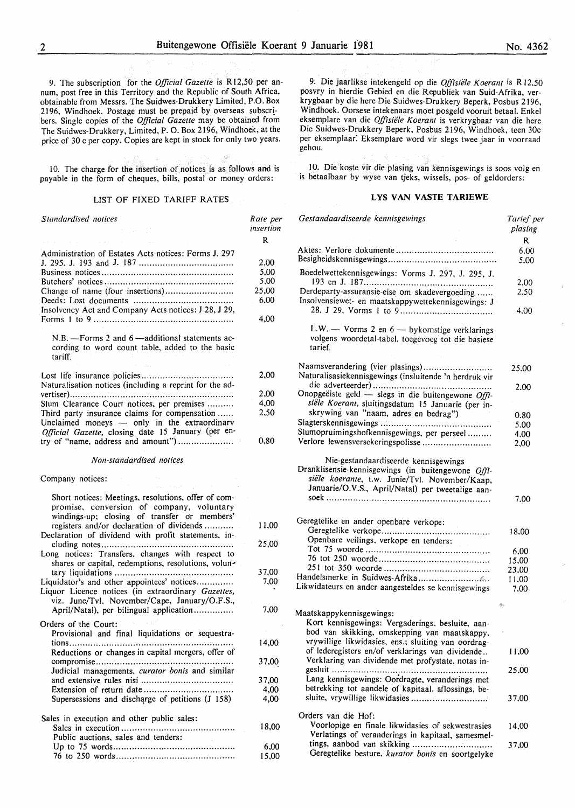9. The subscription for the *Official Gazette* is Rl2,50 per annum, post free in this Territory and the Republic of South Africa, obtainable from Messrs. The Suidwes-Drukkery Limited, P.O. Box 2196, Windhoek. Postage must be prepaid by overseas subscr! bers. Single copies of the *Official Gazette* may be obtained from The Suidwes-Drukkery, Limited, P. 0. Box 2196, Windhoek, at the price of 30 c per copy. Copies are kept in stock for only two years.

10. The charge for the insertion of notices is as follows and is payable in the form of cheques, bills, postal or money orders:

#### LIST OF FIXED TARIFF RATES

| Standardised notices                                                                                                                                                                      | Rate per<br>insertion                              |
|-------------------------------------------------------------------------------------------------------------------------------------------------------------------------------------------|----------------------------------------------------|
| Administration of Estates Acts notices: Forms J. 297<br>Change of name (four insertions)<br>Insolvency Act and Company Acts notices: J 28, J 29,                                          | R<br>2,00<br>5,00<br>5,00<br>25,00<br>6,00<br>4,00 |
| N.B. - Forms 2 and 6 - additional statements ac-<br>cording to word count table, added to the basic<br>tariff.                                                                            |                                                    |
| Naturalisation notices (including a reprint for the ad-                                                                                                                                   | 2,00                                               |
|                                                                                                                                                                                           | 2.00                                               |
| Slum Clearance Court notices, per premises                                                                                                                                                | 4,00                                               |
| Third party insurance claims for compensation<br>Unclaimed moneys - only in the extraordinary<br>Official Gazette, closing date 15 January (per en-<br>try of "name, address and amount") | 2,50<br>0,80                                       |
| Non-standardised notices                                                                                                                                                                  |                                                    |
| Company notices:                                                                                                                                                                          |                                                    |
| Short notices: Meetings, resolutions, offer of com-<br>promise, conversion of company, voluntary<br>windings-up; closing of transfer or members'                                          |                                                    |
| registers and/or declaration of dividends<br>Declaration of dividend with profit statements, in-                                                                                          | 11,00                                              |
| Long notices: Transfers, changes with respect to<br>shares or capital, redemptions, resolutions, volun-                                                                                   | 25,00                                              |
|                                                                                                                                                                                           | 37,00                                              |
| Liquidator's and other appointees' notices<br>Liquor Licence notices (in extraordinary Gazettes,<br>viz. June/Tvl. November/Cape, January/O.F.S.,                                         | 7.00                                               |
| April/Natal), per bilingual application                                                                                                                                                   | 7,00                                               |
| Orders of the Court:                                                                                                                                                                      |                                                    |
| Provisional and final liquidations or sequestra-<br>Reductions or changes in capital mergers, offer of                                                                                    | 14,00                                              |
| Judicial managements, curator bonis and similar                                                                                                                                           | 37,00                                              |
|                                                                                                                                                                                           | 37,00                                              |
|                                                                                                                                                                                           | 4,00                                               |
| Supersessions and discharge of petitions (J 158)                                                                                                                                          | 4,00                                               |
| Sales in execution and other public sales:                                                                                                                                                |                                                    |
| Public auctions, sales and tenders:                                                                                                                                                       | 18,00                                              |
| $\sim 10^{-1}$                                                                                                                                                                            | 6,00                                               |
|                                                                                                                                                                                           | 15,00                                              |

9. Die jaarlikse intekengeld op die *Offisiiile Koerant* is R 12,50 posvry in hierdie Gebied en die Republiek van Suid-Afrika, verkrygbaar by die here Die Suidwes-Drukkery Beperk, Posbus 2196, Windhoek. Oorsese intekenaars moet posgeld vooruit betaal. Enkel eksemplare van die *Offisiiile Koerant* is verkrygbaar van die here Die Suidwes-Drukkery Beperk, Posbus 2196, Windhoek, teen 30c per eksemplaar: Eksemplare word vir slegs twee jaar in voorraad gehou.

10. Die koste vir die plasing van kennisgewings is soos volg en is betaalbaar by wyse van tjeks, wissels, pos- of geldorders:

#### LYS VAN VASTE TARIEWE

| Gestandaardiseerde kennisgewings                                                                                                                                                                  | Tarief per<br>plasing |  |
|---------------------------------------------------------------------------------------------------------------------------------------------------------------------------------------------------|-----------------------|--|
|                                                                                                                                                                                                   | R                     |  |
|                                                                                                                                                                                                   | 6.00                  |  |
|                                                                                                                                                                                                   | 5.00                  |  |
| Boedelwettekennisgewings: Vorms J. 297, J. 295, J.                                                                                                                                                |                       |  |
|                                                                                                                                                                                                   | 2.00                  |  |
| Derdeparty-assuransie-eise om skadevergoeding                                                                                                                                                     | 2.50                  |  |
| Insolvensiewet- en maatskappywettekennisgewings: J                                                                                                                                                | 4.00                  |  |
|                                                                                                                                                                                                   |                       |  |
| L.W. - Vorms 2 en $6$ - by komstige verklarings<br>volgens woordetal-tabel, toegevoeg tot die basiese<br>tarief.                                                                                  |                       |  |
| Naamsverandering (vier plasings)                                                                                                                                                                  | 25,00                 |  |
| Naturalisasiekennisgewings (insluitende 'n herdruk vir                                                                                                                                            |                       |  |
|                                                                                                                                                                                                   | 2.00                  |  |
| Onopgeëiste geld - slegs in die buitengewone Offi-                                                                                                                                                |                       |  |
| siële Koerant, sluitingsdatum 15 Januarie (per in-                                                                                                                                                |                       |  |
| skrywing van "naam, adres en bedrag")                                                                                                                                                             | 0.80                  |  |
|                                                                                                                                                                                                   | 5,00                  |  |
| Slumopruimingshofkennisgewings, per perseel                                                                                                                                                       |                       |  |
| Verlore lewensversekeringspolisse                                                                                                                                                                 | 4,00                  |  |
|                                                                                                                                                                                                   | 2,00                  |  |
| Nie-gestandaardiseerde kennisgewings<br>Dranklisensie-kennisgewings (in buitengewone Offi-<br>siële koerante, t.w. Junie/Tvl. November/Kaap,<br>Januarie/O.V.S., April/Natal) per tweetalige aan- |                       |  |
|                                                                                                                                                                                                   | 7.00                  |  |
|                                                                                                                                                                                                   |                       |  |
| Geregtelike en ander openbare verkope:                                                                                                                                                            |                       |  |
|                                                                                                                                                                                                   | 18.00                 |  |
| Openbare veilings, verkope en tenders:                                                                                                                                                            |                       |  |
|                                                                                                                                                                                                   | 6,00                  |  |
|                                                                                                                                                                                                   | 15,00                 |  |
|                                                                                                                                                                                                   | 23,00                 |  |
|                                                                                                                                                                                                   | 11,00                 |  |
| Likwidateurs en ander aangesteldes se kennisgewings                                                                                                                                               | 7.00                  |  |
|                                                                                                                                                                                                   | Ą.                    |  |
| Maatskappykennisgewings:                                                                                                                                                                          |                       |  |
| Kort kennisgewings: Vergaderings, besluite, aan-                                                                                                                                                  |                       |  |
| bod van skikking, omskepping van maatskappy,                                                                                                                                                      |                       |  |
| vrywillige likwidasies, ens.; sluiting van oordrag-                                                                                                                                               |                       |  |
| of lederegisters en/of verklarings van dividende                                                                                                                                                  | 11,00                 |  |
| Verklaring van dividende met profystate, notas in-                                                                                                                                                |                       |  |
|                                                                                                                                                                                                   | 25.00                 |  |
| Lang kennisgewings: Oordragte, veranderings met                                                                                                                                                   |                       |  |
| betrekking tot aandele of kapitaal, aflossings, be-                                                                                                                                               |                       |  |
|                                                                                                                                                                                                   | 37.00                 |  |
|                                                                                                                                                                                                   |                       |  |
| Orders van die Hof:                                                                                                                                                                               |                       |  |
| Voorlopige en finale likwidasies of sekwestrasies                                                                                                                                                 | 14.00                 |  |
| Verlatings of veranderings in kapitaal, samesmel-                                                                                                                                                 |                       |  |
| tings, aanbod van skikking<br>Geregtelike besture, kurator bonis en soortgelyke                                                                                                                   | 37.00                 |  |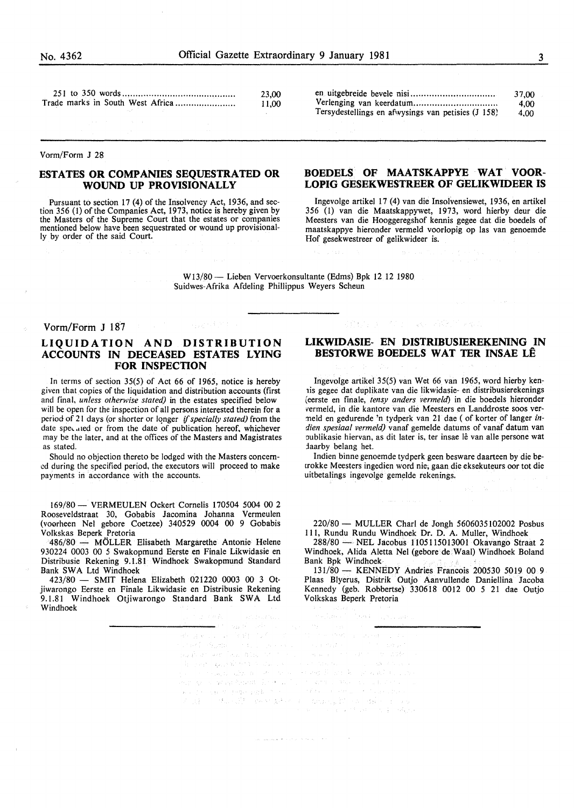|  |  |                                  | 23.00 |
|--|--|----------------------------------|-------|
|  |  | Trade marks in South West Africa | 11.00 |

Vorm/Form J 28

#### **ESTATES OR COMPANIES SEQUESTRATED OR WOUND UP PROVISIONALLY**

Pursuant to section 17 (4) of the Insolvency Act, 1936, and section 356 (1) of the Companies Act, 1973, notice is hereby given by the Masters of the Supreme Court that the estates or companies mentioned below have been sequestrated or wound up provisionally by order of the said Court.

#### **BOEDELS OF MAATSKAPPYE WAT VOOR-LOPIG GESEKWESTREER OF GELIKWIDEER IS**

en uitgebreide bevele nisi. .............................. . Verlenging van keerdatum.................................. Tersydestellings en afwysings van petisies (J 158)

lngevolge artikel 17 (4) van die Insofvensiewet, 1936, en artikel 356 (I) van die Maatskappywet, 1973, word hierby deur die Meesters van die Hooggeregshof kennis gegee dat die boedels of maatskappye hieronder vermeld voorlopig op las van genoemde Hof gesekwestreer of gelikwideer is.

Wl3/80- Lieben Vervoerkonsultante (Edms) Bpk 12 12 1980 Suidwes-Afrika Afdeling Phillippus Weyers Scheun

#### Vorm/Form J 187

#### **LIQUIDATION AND DISTRIBUTION ACCOUNTS IN DECEASED ESTATES LYING FOR INSPECTION**

In terms of section 35(5) of Act 66 of 1965, notice is hereby given that copies of the liquidation and distribution accounts (first and final, *unless otherwise stated)* in the estates specified below will be open for the inspection of all persons interested therein for a period of 21 days (or shorter or Iqnger if *specially stated)* from the date speculed or from the date of publication hereof, whichever may be the later, and at the offices of the Masters and Magistrates as stated.

Should no objection thereto be lodged with the Masters concerned during the specified period, the executors will proceed to make payments in accordance with the accounts.

169/80- VERMEULEN Ockert Cornelis 170504 5004 00 2 Rooseveldstraat 30, Gobabis Jacomina Johanna Vermeulen (voorheen Nel gebore Coetzee) 340529 0004 00 9 Gobabis Volkskas Beperk Pretoria

486/80 - MÖLLER Elisabeth Margarethe Antonie Helene 930224 0003 00 *5* Swakopmund Eerste en Finale Likwidasie en Distribusie Rekening 9.1.81 Windhoek Swakopmund Standard Bank SWA Ltd Windhoek

423/80 - SMIT Helena Elizabeth 021220 0003 00 3 Otjiwarongo Eerste en Finale Likwidasie en Distribusie Rekening 9.1.81 Windhoek Otjiwarongo Standard Bank SWA Ltd Windhoek

#### **LIKWIDASIE- EN DISTRIBUSIEREKENING IN BESTORWE BOEDELS WAT TER INSAE LE**

**TAKE SERVICE** 

lngevolge artikel 35(5) van Wet 66 van 1965, word hierby kenlis gegee dat duplikate van die likwidasie- en distribusierekenings (eerste en finale, *tensy anders vermeld)* in die boedels hieronder vermeld, in die kantore van die Meesters en Landdroste soos vermeld en gedurende 'n tydperk van 21 dae (of korter of Ianger in*dien spesiaal vermeld)* vanaf gemelde datums of vanaf datum van oublikasie hiervan, as dit later is, ter insae lê van alle persone wat daarby belang het.

Indien binne genoemde tydperk geen besware daarteen by die betrokke Meesters ingedien word nie; gaan die eksekuteurs oor tot die uitbetalings ingevolge gemelde rekenings.

220/80 - MULLER Chari de Jongh 5606035102002 Posbus Ill, Rundu Rundu Windhoek Dr. D. A. Muller, Windhoek

288/80- NEL Jacobus 1105115013001 Okavango Straat 2 Windhoek, Alida Aletta Nel (gebore de Waal) Windhoek Boland Bank Bpk Windhoek .

131/80- KENNEDY Andries Francois 200530 5019 00 9 Plaas Blyerus, Distrik Outjo Aanvullende Daniellina Jacoba Kennedy (geb. Robbertse) 330618 0012 00 *5* 21 dae Outjo Volkskas Beperk Pretoria

⊷r an San A  $\label{eq:stoch} \begin{split} \mathcal{A}^{\text{L}}&\left(\mathcal{A}(\mathbf{x}^{\text{L}}),\mathbf{1}\right) = \mathcal{O}\left(\frac{\log M}{\log M}\right) \leq \mathcal{O}\left(\frac{M}{\log M}\right) \end{split}$  $\mathbb{P}^{M_{\mathcal{B}}\times\mathcal{B}_{\mathcal{B}}^{(0)}}=\mathbb{E}_{\mathcal{B}_{\mathcal{B}}\times\mathcal{B}_{\mathcal{B}}^{(0)}}\left\{\mathbb{E}_{\mathcal{B}_{\mathcal{B}}\times\mathcal{B}_{\mathcal{B}}^{(0)}}\right\}.$  $\left(\phi_{\mathcal{A}}\right)^{\dagger}(\omega_{\mathcal{A}})$  , and  $\left(\phi_{\mathcal{A}}\right)^{\dagger}(\omega_{\mathcal{A}})$  , where A short appeals to a state of  $\zeta_{\rm eff} = 323 \pm 0.5$  , and  $\zeta_{\rm eff}$ ga Salawagi awakan sebagai pengang.<br>Perintahan pengangan kepertahan pengang  $\mathbb{R}^2 \times \mathbb{R}^2 \times \mathbb{R} \times \mathbb{R}$  $\label{eq:1} \begin{split} \mathcal{C}^{\alpha\beta}(\mathcal{L}^{\alpha\beta}\mathcal{R}^{\beta\gamma})&=\mathcal{M}_{\alpha\beta}(\mathcal{L}^{\alpha\beta})\mathcal{L}^{\alpha\beta}(\mathcal{L}^{\beta\beta})\mathcal{L}^{\beta\gamma}(\mathcal{L}^{\beta\gamma})\\ &\geq \int_{\mathcal{L}^{\beta}}\mathcal{L}^{\beta\gamma}(\mathcal{L}^{\beta\gamma})\mathcal{L}^{\beta\gamma}(\mathcal{L}^{\beta\gamma})&=\mathcal{L}^{\beta\gamma}(\mathcal{L}^{\beta\gamma})\mathcal{L}^{\beta\$ e de la capital de la capital de la capital de la capital de la capital de la capital de la capital de la capi<br>La capital de la capital de la capital de la capital de la capital de popular de la capital de la capital de l ige synthesis (

, we consider a  $\mathcal{A}$  -dependence of the set  $\mathcal{A}$  of  $\mathcal{A}$ 

37,00 4,00 4,00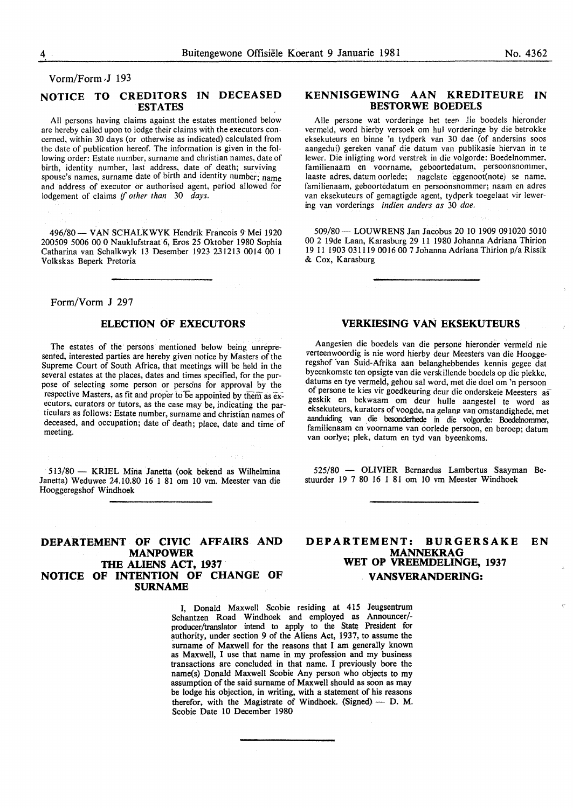Vorm/Form J 193

#### **NOTICE TO CREDITORS IN DECEASED ESTATES**

All persons having claims against the estates mentioned below are hereby called upon to lodge their claims with the executors concerned, within 30 days (or otherwise as indicated) calculated from the date of publication hereof. The information is given in the following order: Estate number, surname and christian names, date of birth, identity number, last address, date of death; surviving spouse's names, surname date of birth and identity number; name and address of executor or authorised agent, period allowed for lodgement of claims if *other than* 30 *days.* 

496/80 - VAN SCHALKWYK Hendrik Francois 9 Mei 1920 200509 5006 00 0 Nauklufstraat 6, Eros 25 Oktober 1980 Sophia Catharina van Schalkwyk 13 Desember 1923 231213 0014 00 1 Volkskas Beperk Pretoria

#### Form/Vorm J 297

#### **ELECTION OF EXECUTORS**

The estates of the persons mentioned below being unrepresented, interested parties are hereby given notice by Masters of the Supreme Court of South Africa, that meetings will be held in the several estates at the places, dates and times specified, for the purpose of selecting some person or persons for approval by the respective Masters, as fit and proper to be appointed by them as executors, curators or tutors, as the case may be, indicating the particulars as follows: Estate number, surname and christian names of deceased, and occupation; date of death; place, date and time of meeting.

513/80 - KRIEL Mina Janetta (ook bekend as Wilhelmina Janetta) Weduwee 24.10.80 16 1 81 om 10 vm. Meester van die Hooggeregshof Windhoek

#### **DEPARTEMENT OF CIVIC AFFAIRS AND MANPOWER THE ALIENS ACT, 1937 NOTICE OF INTENTION OF CHANGE OF SURNAME**

### Alle persone wat vorderinge het teen lie boedels hieronder vermeld, word hierby versoek om hul vorderinge by die betrokke

eksekuteurs en binne 'n tydperk van 30 dae (of andersins soos aangedui) gereken vanaf die datum van publikasie hiervan in te !ewer. Die inligting word verstrek in die volgorde: Boedelnommer. familienaam en voorname, geboortedatum, persoonsnommer, laaste adres, datum oorlede; nagelate eggenoot(note) se name. familienaam, geboortedatum en persoonsnommer; naam en adres van eksekuteurs of gemagtigde agent, tydperk toegelaat vir lewering van vorderings *indien anders as* 30 *dae.* 

**KENNISGEWING AAN KREDITEURE IN BESTORWE BOEDELS** 

509/80- LOUWRENS Jan Jacobus 20 10 1909 091020 5010 00 2 19de Laan, Karasburg 29 11 1980 Johanna Adriana Thirion 19 ll 1903 031119 0016 00 7 Johanna Adriana Thirion p/a Rissik & Cox, Karasburg

#### **VERKIESING VAN EKSEKUTEURS**

Aangesien die boedels van die persone hieronder vermeld nie verteenwoordig is nie word hierby deur Meesters van die Hooggeregshof 'van Suid-Afrika aan belanghebbendes kennis gegee dat byeenkomste ten opsigte van die verskillende boedels op die plekke, datums en tye vermeld, gehou sal word, met die doe! om 'n persoon of persone te kies vir goedkeuring deur die onderskeie Meesters as geskik en bekwaam om deur hulle aangestel te word as eksekuteurs, kurators of voogde, na gelang van omstandighede, met aanduiding van die besonderhede in die volgorde: Boedelnommer, familienaam en voorname van oorlede persoon, en beroep; datum van oorlye; plek, datum en tyd van byeenkoms.

525/80 - OLIVIER Bernardus Lambertus Saayman Bestuurder 19 7 80 16 1 81 om 10 vm Meester Windhoek

#### **DEPARTEMENT: BURGERSAKE EN MANNEKRAG WET OP VREEMDELINGE, 1937 V ANSVERANDERING:**

I, Donald Maxwell Scobie residing at 415 Jeugsentrum Schantzen Road Windhoek and employed as Announcer/ producer/translator intend to apply to the State President for authority, under section 9 of the Aliens Act, 1937, to assume the surname of Maxwell for the reasons that I am generally known as Maxwell, I use that name in my profession and my business transactions are concluded in that name. I previously bore the name(s) Donald Maxwell Scobie Any person who objects to my assumption of the said surname of Maxwell should as soon as may be lodge his objection, in writing, with a statement of his reasons therefor, with the Magistrate of Windhoek. (Signed)  $-$  D. M. Scobie Date 10 December 1980